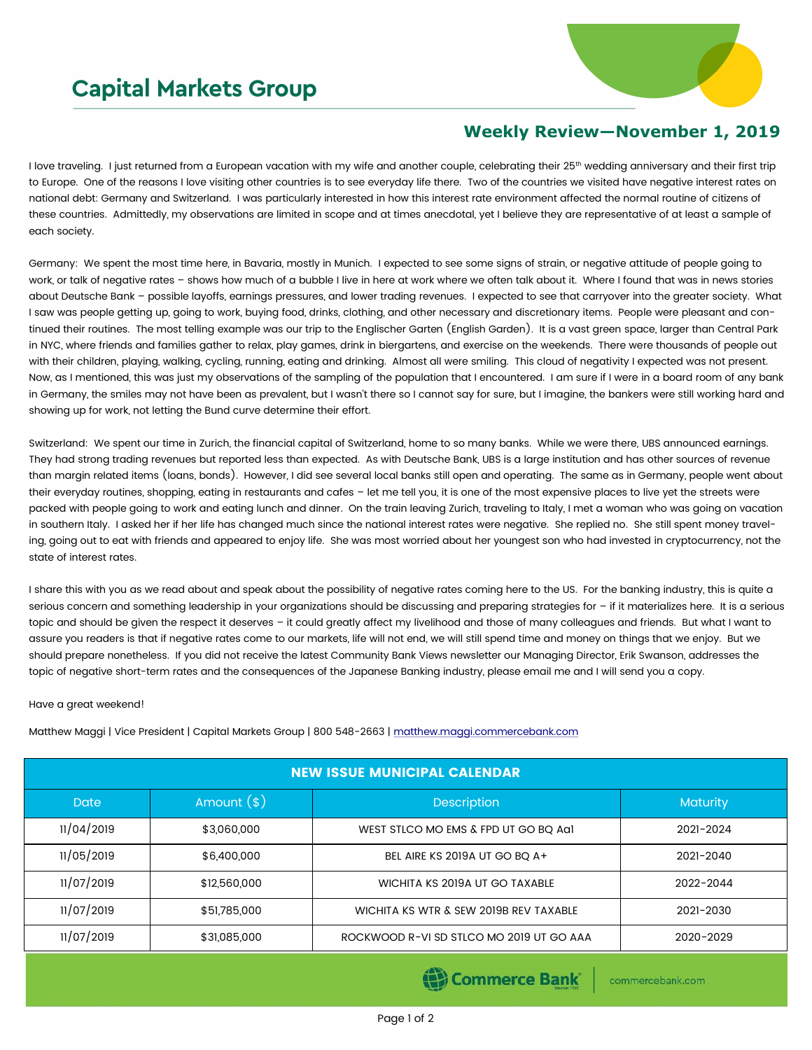## **Capital Markets Group**



## **Weekly Review—November 1, 2019**

I love traveling. I just returned from a European vacation with my wife and another couple, celebrating their 25<sup>th</sup> wedding anniversary and their first trip to Europe. One of the reasons I love visiting other countries is to see everyday life there. Two of the countries we visited have negative interest rates on national debt: Germany and Switzerland. I was particularly interested in how this interest rate environment affected the normal routine of citizens of these countries. Admittedly, my observations are limited in scope and at times anecdotal, yet I believe they are representative of at least a sample of each society.

Germany: We spent the most time here, in Bavaria, mostly in Munich. I expected to see some signs of strain, or negative attitude of people going to work, or talk of negative rates – shows how much of a bubble I live in here at work where we often talk about it. Where I found that was in news stories about Deutsche Bank – possible layoffs, earnings pressures, and lower trading revenues. I expected to see that carryover into the greater society. What I saw was people getting up, going to work, buying food, drinks, clothing, and other necessary and discretionary items. People were pleasant and continued their routines. The most telling example was our trip to the Englischer Garten (English Garden). It is a vast green space, larger than Central Park in NYC, where friends and families gather to relax, play games, drink in biergartens, and exercise on the weekends. There were thousands of people out with their children, playing, walking, cycling, running, eating and drinking. Almost all were smiling. This cloud of negativity I expected was not present. Now, as I mentioned, this was just my observations of the sampling of the population that I encountered. I am sure if I were in a board room of any bank in Germany, the smiles may not have been as prevalent, but I wasn't there so I cannot say for sure, but I imagine, the bankers were still working hard and showing up for work, not letting the Bund curve determine their effort.

Switzerland: We spent our time in Zurich, the financial capital of Switzerland, home to so many banks. While we were there, UBS announced earnings. They had strong trading revenues but reported less than expected. As with Deutsche Bank, UBS is a large institution and has other sources of revenue than margin related items (loans, bonds). However, I did see several local banks still open and operating. The same as in Germany, people went about their everyday routines, shopping, eating in restaurants and cafes – let me tell you, it is one of the most expensive places to live yet the streets were packed with people going to work and eating lunch and dinner. On the train leaving Zurich, traveling to Italy, I met a woman who was going on vacation in southern Italy. I asked her if her life has changed much since the national interest rates were negative. She replied no. She still spent money traveling, going out to eat with friends and appeared to enjoy life. She was most worried about her youngest son who had invested in cryptocurrency, not the state of interest rates.

I share this with you as we read about and speak about the possibility of negative rates coming here to the US. For the banking industry, this is quite a serious concern and something leadership in your organizations should be discussing and preparing strategies for - if it materializes here. It is a serious topic and should be given the respect it deserves - it could greatly affect my livelihood and those of many colleagues and friends. But what I want to assure you readers is that if negative rates come to our markets, life will not end, we will still spend time and money on things that we enjoy. But we should prepare nonetheless. If you did not receive the latest Community Bank Views newsletter our Managing Director, Erik Swanson, addresses the topic of negative short-term rates and the consequences of the Japanese Banking industry, please email me and I will send you a copy.

## Have a great weekend!

Matthew Maggi | Vice President | Capital Markets Group | 800 548-2663 | [matthew.maggi.commercebank.com](mailto:matthew.maggi@commercebank.com)

| <b>NEW ISSUE MUNICIPAL CALENDAR</b> |              |                                          |                 |  |  |  |
|-------------------------------------|--------------|------------------------------------------|-----------------|--|--|--|
| Date                                | Amount $(*)$ | <b>Description</b>                       | <b>Maturity</b> |  |  |  |
| 11/04/2019                          | \$3,060,000  | WEST STLCO MO EMS & FPD UT GO BQ Aa1     | 2021-2024       |  |  |  |
| 11/05/2019                          | \$6,400,000  | BEL AIRE KS 2019A UT GO BQ A+            | 2021-2040       |  |  |  |
| 11/07/2019                          | \$12,560,000 | WICHITA KS 2019A UT GO TAXABLE           | 2022-2044       |  |  |  |
| 11/07/2019                          | \$51,785,000 | WICHITA KS WTR & SEW 2019B REV TAXABLE   | 2021-2030       |  |  |  |
| 11/07/2019                          | \$31,085,000 | ROCKWOOD R-VI SD STLCO MO 2019 UT GO AAA | 2020-2029       |  |  |  |

Commerce Bank

commercebank.com